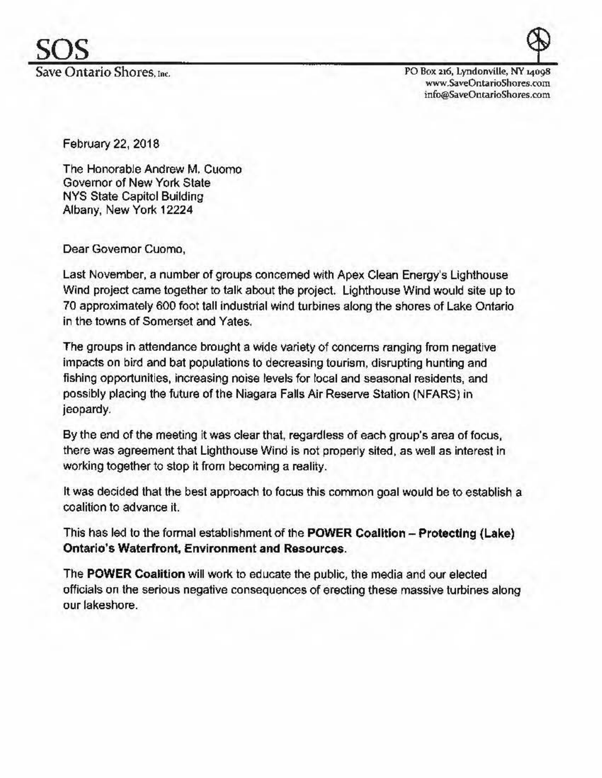PO Box 216, Lyndonville, NY 14098 www.SaveOntarioShores.rom info@SaveOntarioShores.com

February 22, 2018

The Honorable Andrew M. Cuomo Governor of New York State NYS State Capitol Building Albany, New York 12224

Dear Governor Cuomo,

Last November, a number of groups concerned with Apex Clean Energy's Lighthouse Wind project came together to talk about the project. Lighthouse Wind would site up to 70 approximately 600 foot tall industrial wind turbines along the shores of Lake Ontario in the towns of Somerset and Yates.

The groups in attendance brought a wide variety of concerns ranging from negative impacts on bird and bat populations to decreasing tourism, disrupting hunting and fishing opportunities, increasing noise levels for local and seasonal residents, and possibly placing the future of the Niagara Falls Air Reserve Station (NFARS) in jeopardy.

By the end of the meeting it was clear that, regardless of each group's area of focus, there was agreement that Lighthouse Wind is not properly sited, as well as interest in working together to stop it from becoming a reality.

It was decided that the best approach to focus this common goal would be to establish a coalition to advance it.

This has led to the formal establishment of the **POWER Coalition - Protecting (Lake) Ontario's Waterfront, Environment and Resources.** 

The **POWER Coalition** will work to educate the public, the media and our elected officials on the serious negative consequences of erecting these massive turbines along our lakeshore.